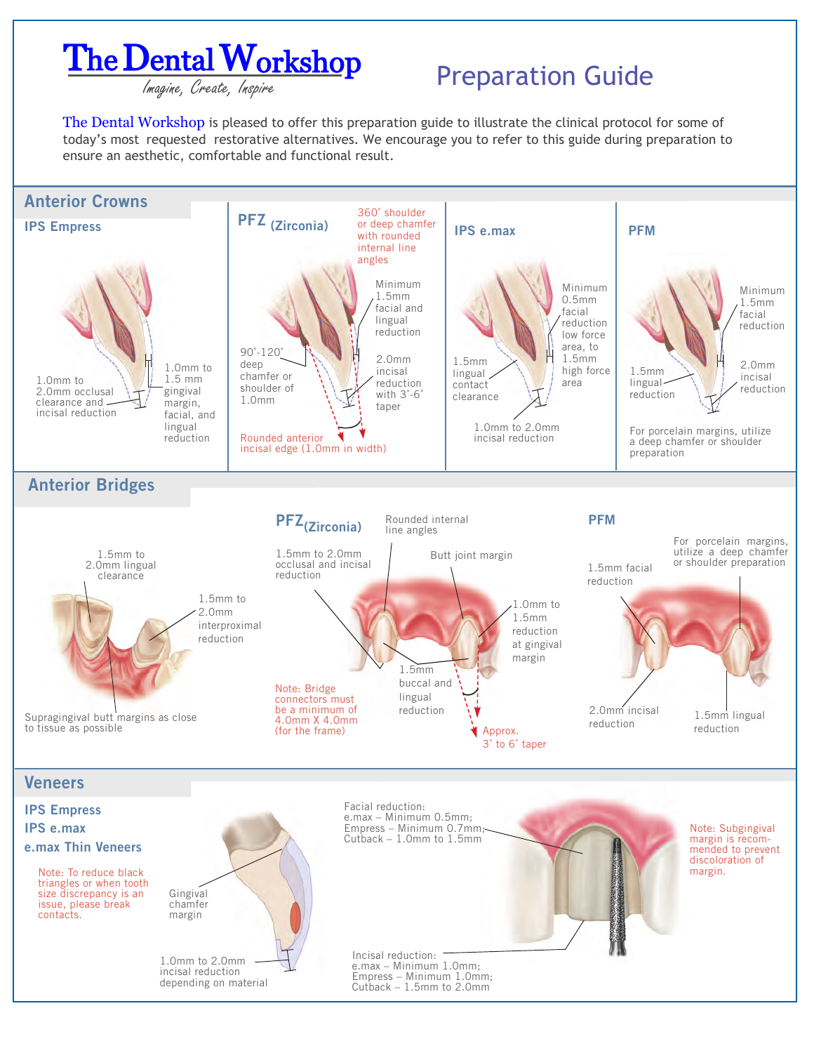

## **PEITEL V VOTKSILOP** Preparation Guide

The Dental Workshop is pleased to offer this preparation guide to illustrate the clinical protocol for some of today's most requested restorative alternatives. We encourage you to refer to this guide during preparation to ensure an aesthetic, comfortable and functional result.